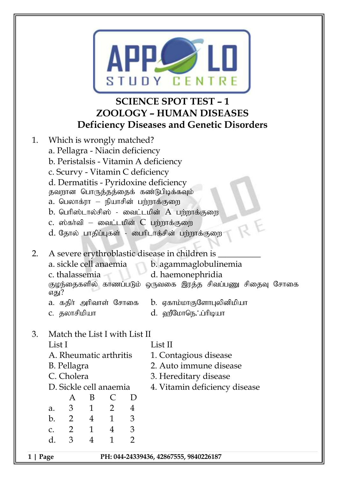

## **SCIENCE SPOT TEST – 1 ZOOLOGY – HUMAN DISEASES Deficiency Diseases and Genetic Disorders**

- 1. Which is wrongly matched? a. Pellagra - Niacin deficiency b. Peristalsis - Vitamin A deficiency c. Scurvy - Vitamin C deficiency d. Dermatitis - Pyridoxine deficiency தவறான பொருத்தத்தைக் கண்டுபிடிக்கவும்  $a.$  பெலாக்ரா – நியாசின் பற்றாக்குறை  $b$ . பெரிஸ்டால்சிஸ் - வைட்டமின்  $A$  பற்றாக்குறை c. ஸ்கர்வி – வைட்டமின்  $C$  பற்றாக்குறை d. தோல் பாதிப்புகள் - பைரிடாக்சின் பற்றாக்குறை 2. A severe erythroblastic disease in children is a. sickle cell anaemia b. agammaglobulinemia c. thalassemia d. haemonephridia குழந்தைகளில் காணப்படும் ஒருவகை இரத்த சிவப்பணு சிதைவு சோகை எகு!? a. கதிர் அரிவாள் சோகை b. ஏகாம்மாகுளோபுலினிமியா c. தலாசிமியா $d.$  வ $\mathfrak{g}_\text{CD}$ ருடு; ப்ரிடியா 3. Match the List I with List II List I List II A. Rheumatic arthritis 1. Contagious disease
	- B. Pellagra 2. Auto immune disease
	- C. Cholera 3. Hereditary disease
	- D. Sickle cell anaemia 4. Vitamin deficiency disease
	- A B C D a. 3 1 2 4 b. 2 4 1 3 c. 2 1 4 3 d. 3 4 1 2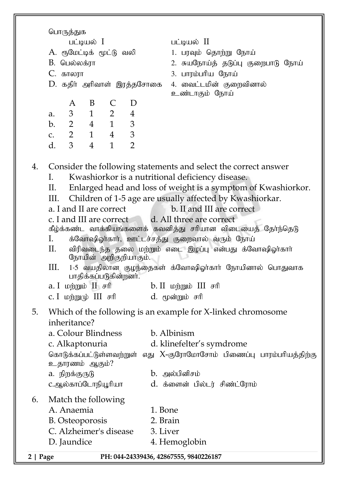பொருத்துக  $\mu$  $\mu$ A. ரூமேட்டிக் மூட்டு வலி 1. பரவும் தொற்று நோய் B. ngy ;yf;uh 2. RaNeha;j; jLg ;G FiwghL Neha; C. fhyuh 3. ghuk;ghpa Neha ;  $D$ . கதிர் அரிவாள் இரத்தசோகை 4. வைட்டமின் குறைவினால் உண்டாகும் நோய் A B C D a. 3 1 2 4 b. 2 4 1 3 c. 2 1 4 3 d. 3 4 1 2 4. Consider the following statements and select the correct answer I. Kwashiorkor is a nutritional deficiency disease. II. Enlarged head and loss of weight is a symptom of Kwashiorkor. III. Children of 1-5 age are usually affected by Kwashiorkar. a. I and II are correct b. II and III are correct c. I and III are correct d. All three are correct கீழ்க்கண்ட வாக்கியங்களைக் கவனித்து சாியான விடையைத் தோ்ந்தெடு I. க்வோஷிஓர்கார், ஊட்டச்சத்து குறைவால் வரும் நோய்  $II.$  விரிவடைந்த தலை மற்றும் எடை இழப்பு என்பது க்வோஷிஓர்கார் நோயின் அறிகுறியாகும்.  $III.$  1-5 வயதிலான குழந்தைகள் க்வோஷிஓர்கார் நோயினால் பொதுவாக பாதிக்கப்படுகின்றனர்.  $a. I$  working b. II working b. II known be also in the set of  $b. II$  and  $b. II$ c. I மற்றுமு்  $III$  சரி  $d$ . மூன்றும் சரி 5. Which of the following is an example for X-linked chromosome inheritance? a. Colour Blindness b. Albinism c. Alkaptonuria d. klinefelter's symdrome கொடுக்கப்பட்டுள்ளவற்றுள் எது  $X$ -குரோமோசோம் பிணைப்பு பாரம்பரியத்திற்கு உதாரணம் ஆகும்? a. நிறக்குருடு b. அல்பினிசம் c.My;fhg;NlhepA+hpah d. f;isd; gpy;lu; rpz;l;Nuhk; 6. Match the following A. Anaemia 1. Bone B. Osteoporosis 2. Brain C. Alzheimer's disease 3. Liver D. Jaundice 4. Hemoglobin

**2 | Page PH: 044-24339436, 42867555, 9840226187**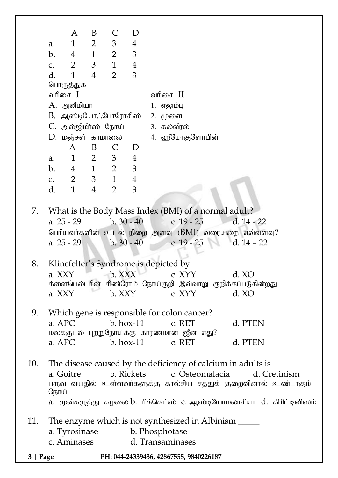|          |                     | A                          | B                      | C                | D                            |                                                                                                                                                                                                                                                       |
|----------|---------------------|----------------------------|------------------------|------------------|------------------------------|-------------------------------------------------------------------------------------------------------------------------------------------------------------------------------------------------------------------------------------------------------|
|          | a.                  | $\mathbf{1}$               | $\overline{2}$         | 3                | 4                            |                                                                                                                                                                                                                                                       |
|          | b.                  | $\overline{4}$             | $\mathbf{1}$           | $\overline{2}$   | 3                            |                                                                                                                                                                                                                                                       |
|          | C.                  | $\overline{2}$             | 3                      | $\mathbf{1}$     | $\overline{4}$               |                                                                                                                                                                                                                                                       |
|          | d.                  | $\mathbf{1}$               | $\overline{4}$         | $\overline{2}$   | 3                            |                                                                                                                                                                                                                                                       |
|          |                     | பொருத்துக                  |                        |                  |                              |                                                                                                                                                                                                                                                       |
|          |                     | வரிசை $\;$ $\;$ $\;$ $\;$  |                        |                  |                              | வரிசை $\;$ $\;$ $\;$ $\;$ $\;$                                                                                                                                                                                                                        |
|          |                     | A. அனீமியா                 |                        |                  |                              | 1. எலும்பு                                                                                                                                                                                                                                            |
|          | B. ஆஸ்டியோ∴போரோசிஸ் |                            |                        |                  |                              | 2. மூளை                                                                                                                                                                                                                                               |
|          |                     | C. அல்ஜிமீர்ஸ் நோய்        |                        |                  |                              | 3. கல்லீரல்                                                                                                                                                                                                                                           |
|          |                     | D. மஞ்சள் காமாலை           |                        |                  |                              | 4. ஹீமோகுளோபின்                                                                                                                                                                                                                                       |
|          |                     | A                          | B                      | $\mathsf{C}$     | D                            |                                                                                                                                                                                                                                                       |
|          | a.                  | $\mathbf{1}$               | $\overline{2}$         | 3                | 4                            |                                                                                                                                                                                                                                                       |
|          | b.                  | $\overline{4}$             | $1 \quad \blacksquare$ | $\overline{2}$   | 3                            |                                                                                                                                                                                                                                                       |
|          | C.                  | $\overline{2}$             | 3 <sup>7</sup>         | $\mathbf{1}$     | $\overline{4}$               |                                                                                                                                                                                                                                                       |
|          | d.                  | $\mathbf{1}$               | $\overline{4}$         | $\overline{2}$   | 3                            |                                                                                                                                                                                                                                                       |
| 7.<br>8. |                     | a. 25 - 29<br>a. $25 - 29$ |                        |                  | $b. 30 - 40$<br>$b. 30 - 40$ | What is the Body Mass Index (BMI) of a normal adult?<br>c. $19 - 25$<br>$d. 14 - 22$<br>பெரியவர்களின் உடல் நிறை அளவு (BMI) வரையறை எவ்வளவு?<br>c. $19 - 25$<br>d. 14 – 22<br>Klinefelter's Syndrome is depicted by                                     |
|          |                     | a. XXY<br>a. XXY           |                        | b. XXX<br>b. XXY |                              | d. XO<br>c. XYY<br>க்ளைபெல்டரின் சிண்ரோம் நோய்குறி இவ்வாறு குறிக்கப்படுகின்றது<br>C. XYY<br>d. XO                                                                                                                                                     |
| 9.       |                     | a. APC<br>a. APC           |                        |                  | $b.$ hox-11                  | Which gene is responsible for colon cancer?<br>d. PTEN<br>c. RET<br>மலக்குடல் புற்றுநோய்க்கு காரணமான ஜீன் எது?<br>$b.$ hox-11 c. RET<br>d. PTEN                                                                                                       |
| 10.      | நோய்                | a. Goitre                  |                        |                  |                              | The disease caused by the deficiency of calcium in adults is<br>b. Rickets c. Osteomalacia<br>d. Cretinism<br>பருவ வயதில் உள்ளவர்களுக்கு கால்சிய சத்துக் குறைவினால் உண்டாகும்<br>a. முன்கழுத்து கழலை b. ரிக்கெட்ஸ் c. ஆஸ்டியோமலாசியா d. கிரிட்டினிஸம் |
| 11.      |                     |                            |                        |                  |                              | The enzyme which is not synthesized in Albinism ______                                                                                                                                                                                                |
|          |                     | a. Tyrosinase              |                        |                  |                              | b. Phosphotase                                                                                                                                                                                                                                        |
|          |                     | c. Aminases                |                        |                  |                              | d. Transaminases                                                                                                                                                                                                                                      |
| 3   Page |                     |                            |                        |                  |                              | PH: 044-24339436, 42867555, 9840226187                                                                                                                                                                                                                |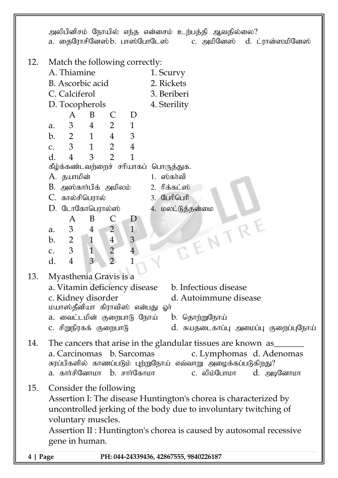**4 | Page PH: 044-24339436, 42867555, 9840226187** அலிபினிசம் நோயில் எந்த என்சைம் உற்பத்தி ஆவதில்லை? a. தைரோசினேஸ்b. பாஸ்போடேஸ் c. அமினேஸ் d. ட்ரான்ஸமினேஸ் 12. Match the following correctly: A. Thiamine 1. Scurvy B. Ascorbic acid 2. Rickets C. Calciferol 3. Beriberi D. Tocopherols 4. Sterility A B C D a. 3 4 2 1 b. 2 1 4 3 c. 3 1 2 4 d. 4 3 2 1 கீழ்க்கண்டவற்றைச் சரியாகப் பொருத்துக. A. jahkpd ; 1. ];fh;tp  $B.$  அஸ்கார்பிக் அமிலம்  $2.$ ரிக்கட்ஸ் C. fhy;rpnguhy; 3. Nghpnghp D. டோகோபெரால்ஸ்<br>
A B C D<br>
a. 3 4 2 1<br>
b. 2 1 4 3<br>
c. 3 1 2 4<br>
d. 4 A B C D a. 3 4 2 1 b. 2 1 4 3 c. 3 1 2 4 d. 4 3 2 1 13. Myasthenia Gravis is a a. Vitamin deficiency disease b. Infectious disease c. Kidney disorder d. Autoimmune disease மயாஸ்தீனியா கிராவிஸ் என்பது வா் a. வைட்டமின் குறைபாடு நோய் b. தொற்றுநோய்  $\,$  c. சிறுநிரகக் குறைபாடு $\,$   $\,$   $\,$  d. சுயதடைகாப்பு அமைப்பு குறைப்புநோய் 14. The cancers that arise in the glandular tissues are known as a. Carcinomas b. Sarcomas c. Lymphomas d. Adenomas சுரப்பிகளில் காணப்படும் புற்றுநோய் எவ்வாறு அழைக்கப்படுகிறது? a. fhh;rpNdhkh b. rhh;Nfhkh c. ypk;Nghkh d. mbNdhkh 15. Consider the following Assertion I: The disease Huntington's chorea is characterized by uncontrolled jerking of the body due to involuntary twitching of voluntary muscles. Assertion II : Huntington's chorea is caused by autosomal recessive gene in human.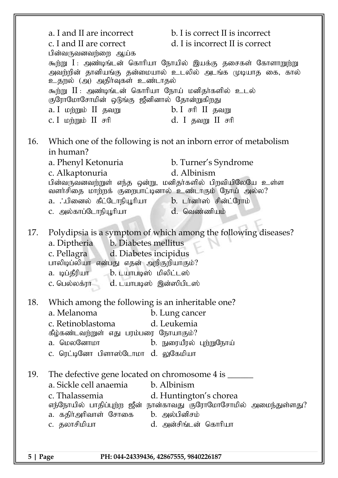|                                                      | a. I and II are incorrect<br>c. I and II are correct<br>பின்வருவனவற்றை ஆய்க<br>உதறல் (அ) அதிர்வுகள் உண்டாதல்<br>கூற்று II : அண்டிங்டன் கொரியா நோய் மனிதர்களில் உடல்<br>குரோமோசோமின் ஒடுங்கு ஜீனினால் தோன்றுகிறது<br>a. I மற்றும் $II$ தவறு                b. I சரி II தவறு | b. I is correct II is incorrect<br>d. I is incorrect II is correct<br>கூற்று I : அண்டிங்டன் கொரியா நோயில் இயக்கு தசைகள் கோளாறுற்று<br>அவற்றின் தானியங்கு தன்மையால் உடலில் அடங்க முடியாத கை, கால் |  |  |  |
|------------------------------------------------------|----------------------------------------------------------------------------------------------------------------------------------------------------------------------------------------------------------------------------------------------------------------------------|--------------------------------------------------------------------------------------------------------------------------------------------------------------------------------------------------|--|--|--|
|                                                      | c. I மற்றும் II சரி                                                                                                                                                                                                                                                        | d. I தவறு II சரி                                                                                                                                                                                 |  |  |  |
| 16.                                                  | in human?<br>a. Phenyl Ketonuria<br>c. Alkaptonuria                                                                                                                                                                                                                        | Which one of the following is not an inborn error of metabolism<br>b. Turner's Syndrome<br>d. Albinism                                                                                           |  |  |  |
|                                                      | வளர்சிதை மாற்றக் குறைபாட்டினால் உண்டாகும் நோய் அல்ல?<br>.பினைல் கீட்டோநியூரியா     b. டர்னர்ஸ் சின்ட்ரோம்<br>C. அல்காப்டோநியூரியா                                                                                                                                          | பின்வருவனவற்றுள் எந்த ஒன்று, மனிதர்களில் பிறவியிலேயே உள்ள<br>d. வெண்ணியம்                                                                                                                        |  |  |  |
| 17.                                                  | a. Diptheria b. Diabetes mellitus<br>c. Pellagra d. Diabetes incipidus<br>பாலிடிப்லியா என்பது எதன் அறிகுறியாகும்?<br>a. டிப்தீரியா      b. டயாபடிஸ் மிலிட்டஸ்<br>c. பெல்லக்ரா<br>d. டயாபடிஸ் இன்ஸிபிடஸ்                                                                    | Polydipsia is a symptom of which among the following diseases?                                                                                                                                   |  |  |  |
| 18.                                                  | Which among the following is an inheritable one?<br>a. Melanoma<br>c. Retinoblastoma<br>கீழ்கண்டவற்றுள் எது பரம்பரை நோயாகும்?<br>a. மெலனோமா<br>c. ரெட்டினோ பிளாஸ்டோமா  d.  லுகேமியா                                                                                        | b. Lung cancer<br>d. Leukemia<br>b. நுரையீரல் புற்றுநோய்                                                                                                                                         |  |  |  |
| 19.                                                  | The defective gene located on chromosome 4 is ______<br>a. Sickle cell anaemia<br>c. Thalassemia<br>a. கதிர்அரிவாள் சோகை   b. அல்பினிசம்<br>c. தலாசிமியா                                                                                                                   | b. Albinism<br>d. Huntington's chorea<br>எந்நோயில் பாதிப்புற்ற ஜீன் நான்காவது குரோமோசோமில் அமைந்துள்ளது?<br>d. அன்சிங்டன் கொரியா                                                                 |  |  |  |
| $5$   Page<br>PH: 044-24339436, 42867555, 9840226187 |                                                                                                                                                                                                                                                                            |                                                                                                                                                                                                  |  |  |  |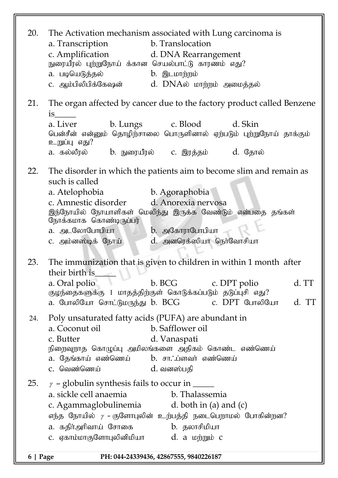| 20. | The Activation mechanism associated with Lung carcinoma is<br>b. Translocation<br>a. Transcription<br>c. Amplification<br>d. DNA Rearrangement<br>நுரையீரல் புற்றுநோய் க்கான செயல்பாட்டு காரணம் எது?<br>a. படியெடுத்தல்<br><b>b.</b> இடமாற்றம்<br>C. ஆம்பிலிபிக்கேஷன்<br>d. DNAல் மாற்றம் அமைத்தல் |
|-----|----------------------------------------------------------------------------------------------------------------------------------------------------------------------------------------------------------------------------------------------------------------------------------------------------|
| 21. | The organ affected by cancer due to the factory product called Benzene<br>$is$ and $is$<br>a. Liver<br>b. Lungs c. Blood<br>d. Skin                                                                                                                                                                |
|     | பென்சீன் என்னும் தொழிந்சாலை பொருளினால் ஏற்படும் புற்றுநோய் தாக்கும்<br>உறுப்பு எது?<br>a. கல்லீரல்         b. நுரையீரல்       c. இரத்தம்           d. தோல்                                                                                                                                         |
|     |                                                                                                                                                                                                                                                                                                    |
| 22. | The disorder in which the patients aim to become slim and remain as<br>such is called                                                                                                                                                                                                              |
|     | a. Atelophobia b. Agoraphobia                                                                                                                                                                                                                                                                      |
|     | d. Anorexia nervosa<br>c. Amnestic disorder<br>இந்நோயில் நோயாளிகள் மெலிந்து இருக்க வேண்டும் என்பதை தங்கள்<br>நோக்கமாக கொண்டிருப்பர்                                                                                                                                                                |
|     | b. அகோராபோபியா<br>a. அடலோபோபியா                                                                                                                                                                                                                                                                    |
|     | d. அனரெக்ஸியா நெர்வோசியா<br>C. அம்னஸ்டிக் நோய்                                                                                                                                                                                                                                                     |
| 23. | The immunization that is given to children in within 1 month after<br>their birth is                                                                                                                                                                                                               |
|     | a. Oral polio<br>b. BCG c. DPT polio<br>d. TT                                                                                                                                                                                                                                                      |
|     | குழந்தைகளுக்கு 1 மாதத்திற்குள் கொடுக்கப்படும் தடுப்புசி எது?<br>a. போலியோ சொட்டுமருந்து b. BCG             c. DPT போலியோ<br>d. TT                                                                                                                                                                  |
| 24. | Poly unsaturated fatty acids (PUFA) are abundant in                                                                                                                                                                                                                                                |
|     | b. Safflower oil<br>a. Coconut oil<br>c. Butter                                                                                                                                                                                                                                                    |
|     | d. Vanaspati<br>நிறைவுறாத கொழுப்பு அமிலங்களை அதிகம் கொண்ட எண்ணெய்                                                                                                                                                                                                                                  |
|     | b. சா∴ப்ளவா் எண்ணெய்<br>a. தேங்காய் எண்ணெய்<br>c. வெண்ணெய்                                                                                                                                                                                                                                         |
|     | d. வனஸ்பதி                                                                                                                                                                                                                                                                                         |
| 25. | $\gamma$ - globulin synthesis fails to occur in $\frac{1}{\sqrt{2\pi}}$<br>a. sickle cell anaemia<br>b. Thalassemia                                                                                                                                                                                |
|     | c. Agammaglobulinemia d. both in (a) and (c)                                                                                                                                                                                                                                                       |
|     | எந்த நோயில் $\gamma$ - குளோபுலின் உற்பத்தி நடைபெறாமல் போகின்றன?                                                                                                                                                                                                                                    |
|     | a. கதிர்அரிவாய் சோகை         b. தலாசிமியா<br>c. ஏகாம்மாகுளோபுலினிமியா             d. a மற்றும் c                                                                                                                                                                                                   |
|     |                                                                                                                                                                                                                                                                                                    |

**6 | Page PH: 044-24339436, 42867555, 9840226187**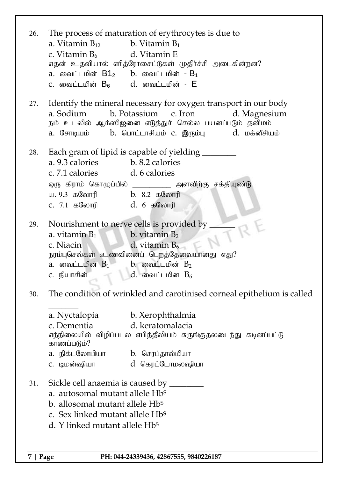| 26.      | The process of maturation of erythrocytes is due to<br>a. Vitamin $B_{12}$ b. Vitamin $B_1$<br>c. Vitamin $B_6$ d. Vitamin E<br>எதன் உதவியால் எரித்ரோசைட்டுகள் முதிர்ச்சி அடைகின்றன?<br>a. வைட்டமின் $B1_2$ b. வைட்டமின் - $B_1$<br>c. வைட்டமின் $B_6$ d. வைட்டமின் - $E$                                                                                                                                                                                                                                                               |  |  |  |  |  |
|----------|-----------------------------------------------------------------------------------------------------------------------------------------------------------------------------------------------------------------------------------------------------------------------------------------------------------------------------------------------------------------------------------------------------------------------------------------------------------------------------------------------------------------------------------------|--|--|--|--|--|
| 27.      | Identify the mineral necessary for oxygen transport in our body<br>b. Potassium c. Iron<br>a. Sodium<br>d. Magnesium<br>நம் உடலில் ஆக்ஸிஜனை எடுத்துச் செல்ல பயனப்படும் தனிமம்<br>a. சோடியம்      b. பொட்டாசியம் c. இரும்பு        d. மக்னீசியம்                                                                                                                                                                                                                                                                                         |  |  |  |  |  |
| 28.      | Each gram of lipid is capable of yielding _________<br>a. 9.3 calories b. 8.2 calories<br>c. 7.1 calories d. 6 calories<br>ஒரு கிராம் கொழுப்பில் ____________ அளவிற்கு சக்தியுண்டு<br>ய. 9.3 கலோரி             b. 8.2 கலோரி<br>c. 7.1 கலோரி                d. 6 கலோரி                                                                                                                                                                                                                                                                   |  |  |  |  |  |
| 29.      | Nourishment to nerve cells is provided by _<br>a. vitamin $B_1$ b. vitamin $B_2$ c. Niacin d. vitamin $B_6$<br>நரம்புசெல்கள் உணவினைப் பெறத்தேவையானது எது?<br>a. வைட்டமின் $B_1$ b. வைட்டமின் $B_2$<br>c. நியாசின் $\qquad$ $\qquad$ $\qquad$ $\qquad$ $\qquad$ $\qquad$ கி. வைட்டமின $\qquad$ $\qquad$ $\qquad$ $\qquad$ $\qquad$ $\qquad$ $\qquad$ $\qquad$ $\qquad$ $\qquad$ $\qquad$ $\qquad$ $\qquad$ $\qquad$ $\qquad$ $\qquad$ $\qquad$ $\qquad$ $\qquad$ $\qquad$ $\qquad$ $\qquad$ $\qquad$ $\qquad$ $\qquad$ $\qquad$ $\qquad$ |  |  |  |  |  |
| 30.      | The condition of wrinkled and carotinised corneal epithelium is called<br>a. Nyctalopia b. Xerophthalmia<br>d. keratomalacia<br>c. Dementia<br>எந்நிலையில் விழிப்படல எபித்தீலியம் சுருங்குதலடைந்து கடினப்பட்டு<br>காணப்படும்?<br>a. நிக்டலோபியா        b. செரப்தால்மியா<br>d கெரட்டோமலஷியா<br>C. டிமன்ஷியா                                                                                                                                                                                                                              |  |  |  |  |  |
| 31.      | Sickle cell anaemia is caused by _______<br>a. autosomal mutant allele Hb <sup>s</sup><br>b. allosomal mutant allele Hb <sup>s</sup><br>c. Sex linked mutant allele Hb <sup>s</sup><br>d. Y linked mutant allele Hb <sup>s</sup>                                                                                                                                                                                                                                                                                                        |  |  |  |  |  |
| 7   Page | PH: 044-24339436, 42867555, 9840226187                                                                                                                                                                                                                                                                                                                                                                                                                                                                                                  |  |  |  |  |  |